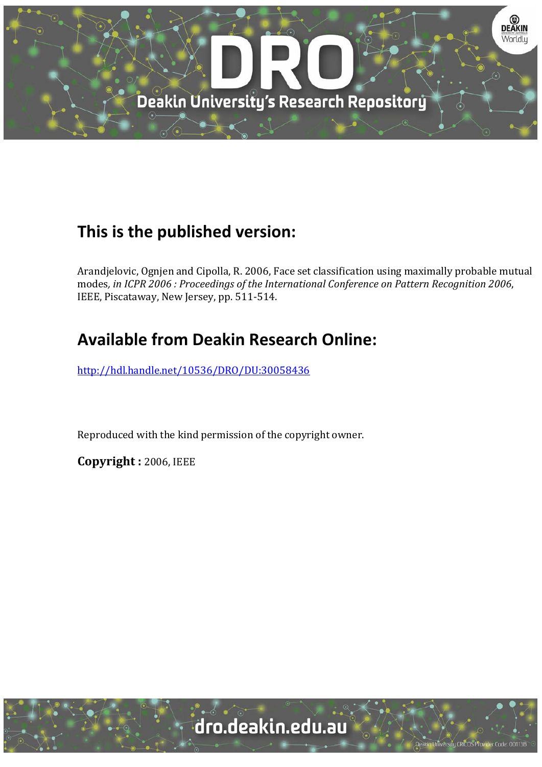

# **This is the published version:**

Arandjelovic, Ognjen and Cipolla, R. 2006, Face set classification using maximally probable mutual modes*, in ICPR 2006 : Proceedings of the International Conference on Pattern Recognition 2006*, IEEE, Piscataway, New Jersey, pp. 511-514.

# **Available from Deakin Research Online:**

http://hdl.handle.net/10536/DRO/DU:30058436

Reproduced with the kind permission of the copyright owner.

**Copyright :** 2006, IEEE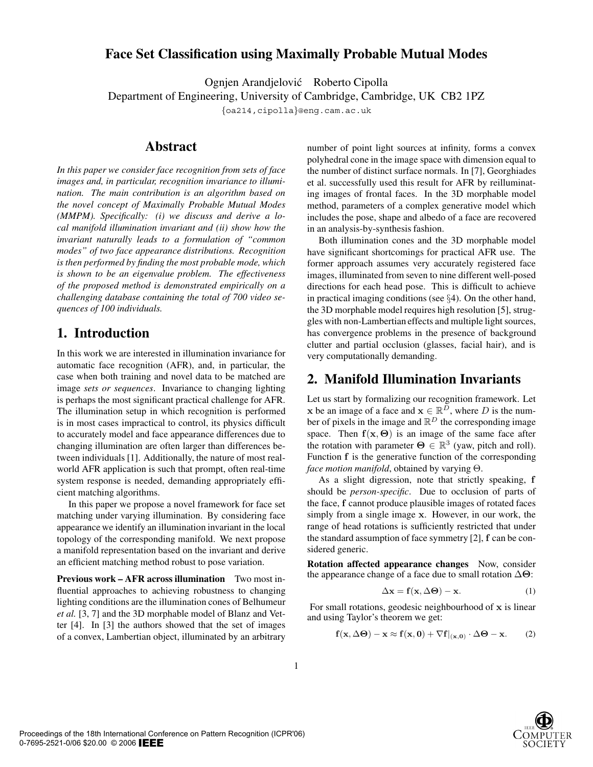## **Face Set Classification using Maximally Probable Mutual Modes**

Ognjen Arandjelović Roberto Cipolla Department of Engineering, University of Cambridge, Cambridge, UK CB2 1PZ

{oa214,cipolla}@eng.cam.ac.uk

## **Abstract**

*In this paper we consider face recognition from sets of face images and, in particular, recognition invariance to illumination. The main contribution is an algorithm based on the novel concept of Maximally Probable Mutual Modes (MMPM). Specifically: (i) we discuss and derive a local manifold illumination invariant and (ii) show how the invariant naturally leads to a formulation of "common modes" of two face appearance distributions. Recognition is then performed by finding the most probable mode, which is shown to be an eigenvalue problem. The effectiveness of the proposed method is demonstrated empirically on a challenging database containing the total of 700 video sequences of 100 individuals.*

## **1. Introduction**

In this work we are interested in illumination invariance for automatic face recognition (AFR), and, in particular, the case when both training and novel data to be matched are image *sets or sequences*. Invariance to changing lighting is perhaps the most significant practical challenge for AFR. The illumination setup in which recognition is performed is in most cases impractical to control, its physics difficult to accurately model and face appearance differences due to changing illumination are often larger than differences between individuals [1]. Additionally, the nature of most realworld AFR application is such that prompt, often real-time system response is needed, demanding appropriately efficient matching algorithms.

In this paper we propose a novel framework for face set matching under varying illumination. By considering face appearance we identify an illumination invariant in the local topology of the corresponding manifold. We next propose a manifold representation based on the invariant and derive an efficient matching method robust to pose variation.

**Previous work – AFR across illumination** Two most influential approaches to achieving robustness to changing lighting conditions are the illumination cones of Belhumeur *et al.* [3, 7] and the 3D morphable model of Blanz and Vetter [4]. In [3] the authors showed that the set of images of a convex, Lambertian object, illuminated by an arbitrary

number of point light sources at infinity, forms a convex polyhedral cone in the image space with dimension equal to the number of distinct surface normals. In [7], Georghiades et al. successfully used this result for AFR by reilluminating images of frontal faces. In the 3D morphable model method, parameters of a complex generative model which includes the pose, shape and albedo of a face are recovered in an analysis-by-synthesis fashion.

Both illumination cones and the 3D morphable model have significant shortcomings for practical AFR use. The former approach assumes very accurately registered face images, illuminated from seven to nine different well-posed directions for each head pose. This is difficult to achieve in practical imaging conditions (see §4). On the other hand, the 3D morphable model requires high resolution [5], struggles with non-Lambertian effects and multiple light sources, has convergence problems in the presence of background clutter and partial occlusion (glasses, facial hair), and is very computationally demanding.

## **2. Manifold Illumination Invariants**

Let us start by formalizing our recognition framework. Let **x** be an image of a face and  $\mathbf{x} \in \mathbb{R}^D$ , where D is the number of pixels in the image and  $\mathbb{R}^D$  the corresponding image space. Then  $f(x, \Theta)$  is an image of the same face after the rotation with parameter  $\Theta \in \mathbb{R}^3$  (yaw, pitch and roll). Function **f** is the generative function of the corresponding *face motion manifold*, obtained by varying Θ.

As a slight digression, note that strictly speaking, **f** should be *person-specific*. Due to occlusion of parts of the face, **f** cannot produce plausible images of rotated faces simply from a single image **x**. However, in our work, the range of head rotations is sufficiently restricted that under the standard assumption of face symmetry [2], **f** can be considered generic.

**Rotation affected appearance changes** Now, consider the appearance change of a face due to small rotation Δ**Θ**:

$$
\Delta \mathbf{x} = \mathbf{f}(\mathbf{x}, \Delta \mathbf{\Theta}) - \mathbf{x}.\tag{1}
$$

For small rotations, geodesic neighbourhood of **x** is linear and using Taylor's theorem we get:

$$
\mathbf{f}(\mathbf{x}, \Delta \boldsymbol{\Theta}) - \mathbf{x} \approx \mathbf{f}(\mathbf{x}, \mathbf{0}) + \nabla \mathbf{f}|_{(\mathbf{x}, \mathbf{0})} \cdot \Delta \boldsymbol{\Theta} - \mathbf{x}.
$$
 (2)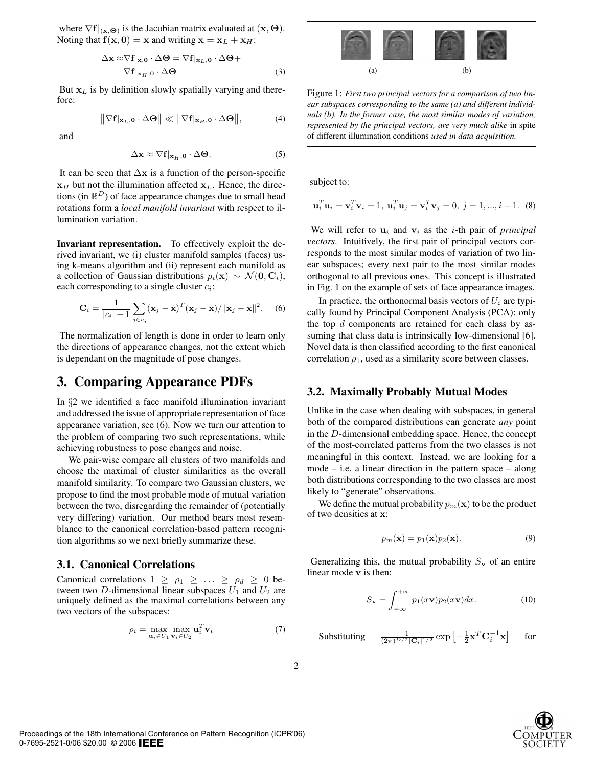where  $\nabla f|_{(\mathbf{x}, \Theta)}$  is the Jacobian matrix evaluated at  $(\mathbf{x}, \Theta)$ . Noting that  $f(x, 0) = x$  and writing  $x = x_L + x_H$ :

$$
\Delta \mathbf{x} \approx \nabla \mathbf{f}|_{\mathbf{x},0} \cdot \Delta \mathbf{\Theta} = \nabla \mathbf{f}|_{\mathbf{x}_L,0} \cdot \Delta \mathbf{\Theta} + \nabla \mathbf{f}|_{\mathbf{x}_H,0} \cdot \Delta \mathbf{\Theta}
$$
\n(3)

But  $x_L$  is by definition slowly spatially varying and therefore:

$$
\|\nabla f|_{\mathbf{x}_L, \mathbf{0}} \cdot \Delta \Theta\| \ll \|\nabla f|_{\mathbf{x}_H, \mathbf{0}} \cdot \Delta \Theta\|,
$$
 (4)

and

$$
\Delta \mathbf{x} \approx \nabla \mathbf{f}|_{\mathbf{x}_H, \mathbf{0}} \cdot \Delta \mathbf{\Theta}.
$$
 (5)

It can be seen that  $\Delta x$  is a function of the person-specific  $\mathbf{x}_H$  but not the illumination affected  $\mathbf{x}_L$ . Hence, the directions (in  $\mathbb{R}^D$ ) of face appearance changes due to small head rotations form a *local manifold invariant* with respect to illumination variation.

**Invariant representation.** To effectively exploit the derived invariant, we (i) cluster manifold samples (faces) using k-means algorithm and (ii) represent each manifold as a collection of Gaussian distributions  $p_i(\mathbf{x}) \sim \mathcal{N}(\mathbf{0}, \mathbf{C}_i)$ , each corresponding to a single cluster  $c_i$ :

$$
\mathbf{C}_i = \frac{1}{|c_i| - 1} \sum_{j \in c_i} (\mathbf{x}_j - \bar{\mathbf{x}})^T (\mathbf{x}_j - \bar{\mathbf{x}}) / ||\mathbf{x}_j - \bar{\mathbf{x}}||^2.
$$
 (6)

The normalization of length is done in order to learn only the directions of appearance changes, not the extent which is dependant on the magnitude of pose changes.

## **3. Comparing Appearance PDFs**

In §2 we identified a face manifold illumination invariant and addressed the issue of appropriate representation of face appearance variation, see (6). Now we turn our attention to the problem of comparing two such representations, while achieving robustness to pose changes and noise.

We pair-wise compare all clusters of two manifolds and choose the maximal of cluster similarities as the overall manifold similarity. To compare two Gaussian clusters, we propose to find the most probable mode of mutual variation between the two, disregarding the remainder of (potentially very differing) variation. Our method bears most resemblance to the canonical correlation-based pattern recognition algorithms so we next briefly summarize these.

#### **3.1. Canonical Correlations**

Canonical correlations  $1 \ge \rho_1 \ge \ldots \ge \rho_d \ge 0$  between two D-dimensional linear subspaces  $U_1$  and  $U_2$  are uniquely defined as the maximal correlations between any two vectors of the subspaces:

$$
\rho_i = \max_{\mathbf{u}_i \in U_1} \max_{\mathbf{v}_i \in U_2} \mathbf{u}_i^T \mathbf{v}_i \tag{7}
$$



Figure 1: *First two principal vectors for a comparison of two linear subspaces corresponding to the same (a) and different individuals (b). In the former case, the most similar modes of variation, represented by the principal vectors, are very much alike* in spite of different illumination conditions *used in data acquisition.*

subject to:

$$
\mathbf{u}_i^T \mathbf{u}_i = \mathbf{v}_i^T \mathbf{v}_i = 1, \; \mathbf{u}_i^T \mathbf{u}_j = \mathbf{v}_i^T \mathbf{v}_j = 0, \; j = 1, ..., i - 1. \tag{8}
$$

We will refer to  $\mathbf{u}_i$  and  $\mathbf{v}_i$  as the *i*-th pair of *principal vectors*. Intuitively, the first pair of principal vectors corresponds to the most similar modes of variation of two linear subspaces; every next pair to the most similar modes orthogonal to all previous ones. This concept is illustrated in Fig. 1 on the example of sets of face appearance images.

In practice, the orthonormal basis vectors of  $U_i$  are typically found by Principal Component Analysis (PCA): only the top  $d$  components are retained for each class by assuming that class data is intrinsically low-dimensional [6]. Novel data is then classified according to the first canonical correlation  $\rho_1$ , used as a similarity score between classes.

#### **3.2. Maximally Probably Mutual Modes**

Unlike in the case when dealing with subspaces, in general both of the compared distributions can generate *any* point in the D-dimensional embedding space. Hence, the concept of the most-correlated patterns from the two classes is not meaningful in this context. Instead, we are looking for a mode – i.e. a linear direction in the pattern space – along both distributions corresponding to the two classes are most likely to "generate" observations.

We define the mutual probability  $p_m(\mathbf{x})$  to be the product of two densities at **x**:

$$
p_m(\mathbf{x}) = p_1(\mathbf{x})p_2(\mathbf{x}).\tag{9}
$$

Generalizing this, the mutual probability  $S_{\mathbf{v}}$  of an entire linear mode **v** is then:

$$
S_{\mathbf{v}} = \int_{-\infty}^{+\infty} p_1(x\mathbf{v}) p_2(x\mathbf{v}) dx.
$$
 (10)

Substituting 
$$
\frac{1}{(2\pi)^{D/2}|\mathbf{C}_i|^{1/2}} \exp\left[-\frac{1}{2}\mathbf{x}^T\mathbf{C}_i^{-1}\mathbf{x}\right]
$$
 for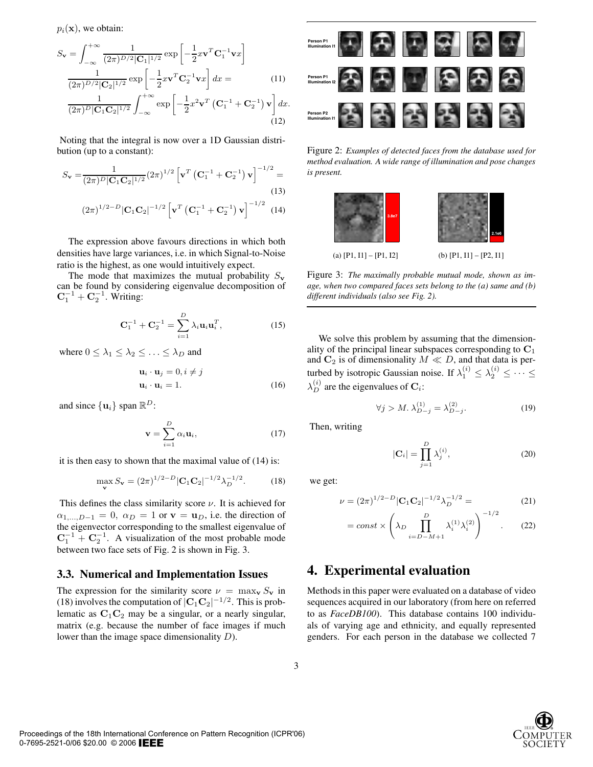$p_i(\mathbf{x})$ , we obtain:

$$
S_{\mathbf{v}} = \int_{-\infty}^{+\infty} \frac{1}{(2\pi)^{D/2} |\mathbf{C}_1|^{1/2}} \exp\left[-\frac{1}{2} x \mathbf{v}^T \mathbf{C}_1^{-1} \mathbf{v} x\right]
$$

$$
\frac{1}{(2\pi)^{D/2} |\mathbf{C}_2|^{1/2}} \exp\left[-\frac{1}{2} x \mathbf{v}^T \mathbf{C}_2^{-1} \mathbf{v} x\right] dx = \qquad (11)
$$

$$
1 \qquad \qquad \int_{-\infty}^{+\infty} \exp\left[-\frac{1}{2} x \mathbf{v}^T \mathbf{C}_2^{-1} \mathbf{v} x\right] dx
$$

$$
\frac{1}{(2\pi)^D |\mathbf{C}_1 \mathbf{C}_2|^{1/2}} \int_{-\infty}^{+\infty} \exp\left[ -\frac{1}{2} x^2 \mathbf{v}^T \left( \mathbf{C}_1^{-1} + \mathbf{C}_2^{-1} \right) \mathbf{v} \right] dx.
$$
\n(12)

Noting that the integral is now over a 1D Gaussian distribution (up to a constant):

$$
S_{\mathbf{v}} = \frac{1}{(2\pi)^{D} |\mathbf{C}_{1} \mathbf{C}_{2}|^{1/2}} (2\pi)^{1/2} \left[ \mathbf{v}^{T} \left( \mathbf{C}_{1}^{-1} + \mathbf{C}_{2}^{-1} \right) \mathbf{v} \right]^{-1/2} =
$$
\n(13)\n
$$
(2\pi)^{1/2-D} |\mathbf{C}_{1} \mathbf{C}_{2}|^{-1/2} \left[ \mathbf{v}^{T} \left( \mathbf{C}_{1}^{-1} + \mathbf{C}_{2}^{-1} \right) \mathbf{v} \right]^{-1/2} (14)
$$

The expression above favours directions in which both densities have large variances, i.e. in which Signal-to-Noise ratio is the highest, as one would intuitively expect.

The mode that maximizes the mutual probability  $S_{\mathbf{v}}$ can be found by considering eigenvalue decomposition of  $C_1^{-1} + C_2^{-1}$ . Writing:

$$
C_1^{-1} + C_2^{-1} = \sum_{i=1}^{D} \lambda_i u_i u_i^T,
$$
 (15)

where  $0 \leq \lambda_1 \leq \lambda_2 \leq \ldots \leq \lambda_D$  and

$$
\mathbf{u}_i \cdot \mathbf{u}_j = 0, i \neq j
$$
  

$$
\mathbf{u}_i \cdot \mathbf{u}_i = 1.
$$
 (16)

and since  $\{u_i\}$  span  $\mathbb{R}^D$ :

$$
\mathbf{v} = \sum_{i=1}^{D} \alpha_i \mathbf{u}_i, \tag{17}
$$

it is then easy to shown that the maximal value of (14) is:

$$
\max_{\mathbf{v}} S_{\mathbf{v}} = (2\pi)^{1/2-D} |\mathbf{C}_1 \mathbf{C}_2|^{-1/2} \lambda_D^{-1/2}.
$$
 (18)

This defines the class similarity score  $\nu$ . It is achieved for  $\alpha_{1,...,D-1} = 0$ ,  $\alpha_D = 1$  or **v** = **u**<sub>D</sub>, i.e. the direction of the eigenvector corresponding to the smallest eigenvalue of  $C_1^{-1} + C_2^{-1}$ . A visualization of the most probable mode between two face sets of Fig. 2 is shown in Fig. 3.

#### **3.3. Numerical and Implementation Issues**

The expression for the similarity score  $\nu = \max_{\mathbf{v}} S_{\mathbf{v}}$  in (18) involves the computation of  $|C_1C_2|^{-1/2}$ . This is problematic as  $C_1C_2$  may be a singular, or a nearly singular, matrix (e.g. because the number of face images if much lower than the image space dimensionality D).



Figure 2: *Examples of detected faces from the database used for method evaluation. A wide range of illumination and pose changes is present.*



Figure 3: *The maximally probable mutual mode, shown as image, when two compared faces sets belong to the (a) same and (b) different individuals (also see Fig. 2).*

We solve this problem by assuming that the dimensionality of the principal linear subspaces corresponding to **C**<sup>1</sup> and  $\mathbf{C}_2$  is of dimensionality  $M \ll D$ , and that data is perturbed by isotropic Gaussian noise. If  $\lambda_1^{(i)} \leq \lambda_2^{(i)} \leq \cdots \leq$  $\lambda_D^{(i)}$  are the eigenvalues of  $\mathbf{C}_i$ :

$$
\forall j > M. \ \lambda_{D-j}^{(1)} = \lambda_{D-j}^{(2)}.\tag{19}
$$

Then, writing

$$
|\mathbf{C}_i| = \prod_{j=1}^D \lambda_j^{(i)},\tag{20}
$$

we get:

$$
\nu = (2\pi)^{1/2 - D} |\mathbf{C}_1 \mathbf{C}_2|^{-1/2} \lambda_D^{-1/2} = (21)
$$

$$
= const \times \left(\lambda_D \prod_{i=D-M+1}^{D} \lambda_i^{(1)} \lambda_i^{(2)}\right)^{-1/2}.
$$
 (22)

## **4. Experimental evaluation**

Methods in this paper were evaluated on a database of video sequences acquired in our laboratory (from here on referred to as *FaceDB100*). This database contains 100 individuals of varying age and ethnicity, and equally represented genders. For each person in the database we collected 7